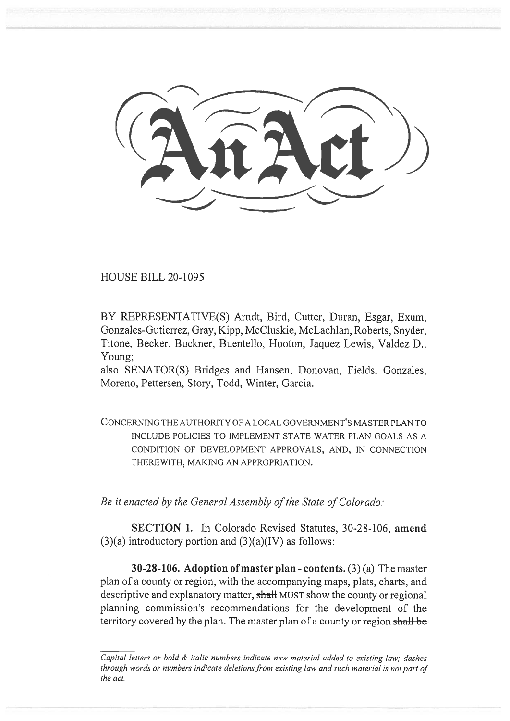HOUSE BILL 20-1095

BY REPRESENTATIVE(S) Arndt, Bird, Cutter, Duran, Esgar, Exum, Gonzales-Gutierrez, Gray, Kipp, McCluskie, McLachlan, Roberts, Snyder, Titone, Becker, Buckner, Buentello, Hooton, Jaquez Lewis, Valdez D., Young;

also SENATOR(S) Bridges and Hansen, Donovan, Fields, Gonzales, Moreno, Pettersen, Story, Todd, Winter, Garcia.

CONCERNING THE AUTHORITY OF A LOCAL GOVERNMENT'S MASTER PLAN TO INCLUDE POLICIES TO IMPLEMENT STATE WATER PLAN GOALS AS A CONDITION OF DEVELOPMENT APPROVALS, AND, IN CONNECTION THEREWITH, MAKING AN APPROPRIATION.

*Be it enacted by the General Assembly of the State of Colorado:* 

**SECTION 1.** In Colorado Revised Statutes, 30-28-106, **amend**   $(3)(a)$  introductory portion and  $(3)(a)(IV)$  as follows:

**30-28-106. Adoption of master plan - contents.** (3) (a) The master plan of a county or region, with the accompanying maps, plats, charts, and descriptive and explanatory matter, shall MUST show the county or regional planning commission's recommendations for the development of the territory covered by the plan. The master plan of a county or region shall be

*Capital letters or bold & italic numbers indicate new material added to existing law; dashes through words or numbers indicate deletions from existing law and such material is not part of the act.*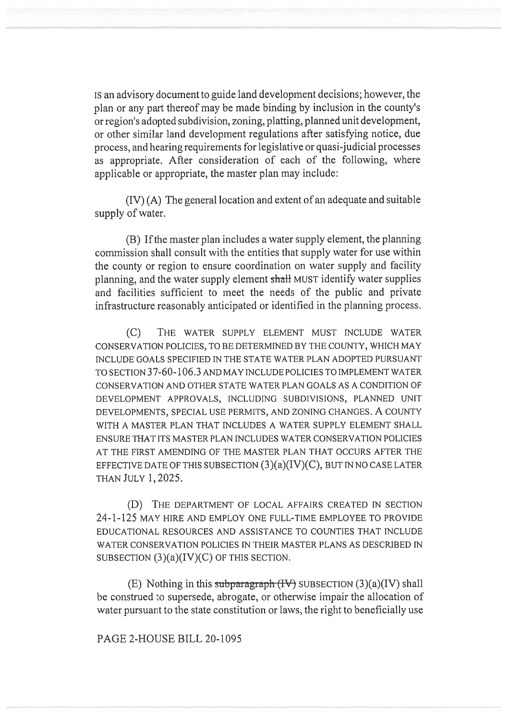IS an advisory document to guide land development decisions; however, the plan or any part thereof may be made binding by inclusion in the county's or region's adopted subdivision, zoning, platting, planned unit development, or other similar land development regulations after satisfying notice, due process, and hearing requirements for legislative or quasi-judicial processes as appropriate. After consideration of each of the following, where applicable or appropriate, the master plan may include:

(IV) (A) The general location and extent of an adequate and suitable supply of water.

(B) If the master plan includes a water supply element, the planning commission shall consult with the entities that supply water for use within the county or region to ensure coordination on water supply and facility planning, and the water supply element shall MUST identify water supplies and facilities sufficient to meet the needs of the public and private infrastructure reasonably anticipated or identified in the planning process.

(C) THE WATER SUPPLY ELEMENT MUST INCLUDE WATER CONSERVATION POLICIES, TO BE DETERMINED BY THE COUNTY, WHICH MAY INCLUDE GOALS SPECIFIED IN THE STATE WATER PLAN ADOPTED PURSUANT TO SECTION 37-60-106.3 AND MAY INCLUDE POLICIES TO IMPLEMENT WATER CONSERVATION AND OTHER STATE WATER PLAN GOALS AS A CONDITION OF DEVELOPMENT APPROVALS, INCLUDING SUBDIVISIONS, PLANNED UNIT DEVELOPMENTS, SPECIAL USE PERMITS, AND ZONING CHANGES. A COUNTY WITH A MASTER PLAN THAT INCLUDES A WATER SUPPLY ELEMENT SHALL ENSURE THAT ITS MASTER PLAN INCLUDES WATER CONSERVATION POLICIES AT THE FIRST AMENDING OF THE MASTER PLAN THAT OCCURS AFTER THE EFFECTIVE DATE OF THIS SUBSECTION  $(3)(a)(IV)(C)$ , BUT IN NO CASE LATER THAN JULY 1, 2025.

(D) THE DEPARTMENT OF LOCAL AFFAIRS CREATED IN SECTION 24-1-125 MAY HIRE AND EMPLOY ONE FULL-TIME EMPLOYEE TO PROVIDE EDUCATIONAL RESOURCES AND ASSISTANCE TO COUNTIES THAT INCLUDE WATER CONSERVATION POLICIES IN THEIR MASTER PLANS AS DESCRIBED IN SUBSECTION  $(3)(a)(IV)(C)$  OF THIS SECTION.

(E) Nothing in this subparagraph  $(HV)$  SUBSECTION  $(3)(a)(IV)$  shall be construed to supersede, abrogate, or otherwise impair the allocation of water pursuant to the state constitution or laws, the right to beneficially use

PAGE 2-HOUSE BILL 20-1095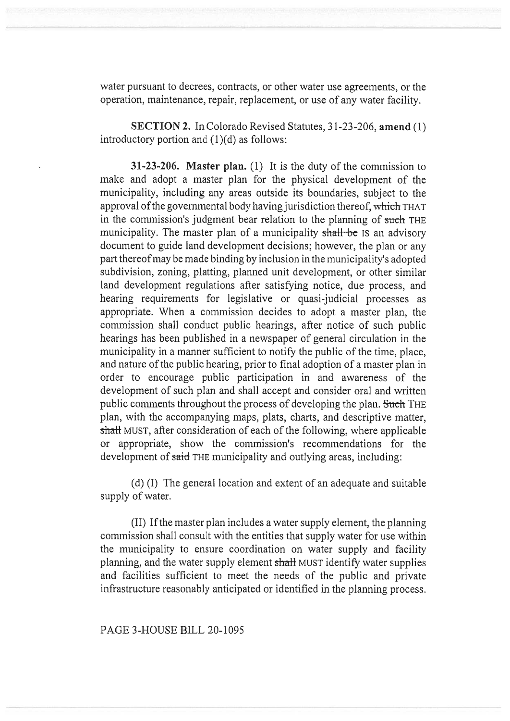water pursuant to decrees, contracts, or other water use agreements, or the operation, maintenance, repair, replacement, or use of any water facility.

**SECTION 2.** In Colorado Revised Statutes, 31-23-206, **amend (1)**  introductory portion and (1)(d) as follows:

**31-23-206. Master plan.** (1) It is the duty of the commission to make and adopt a master plan for the physical development of the municipality, including any areas outside its boundaries, subject to the approval of the governmental body having jurisdiction thereof, which THAT in the commission's judgment bear relation to the planning of such THE municipality. The master plan of a municipality shall be is an advisory document to guide land development decisions; however, the plan or any part thereof may be made binding by inclusion in the municipality's adopted subdivision, zoning, platting, planned unit development, or other similar land development regulations after satisfying notice, due process, and hearing requirements for legislative or quasi-judicial processes as appropriate. When a commission decides to adopt a master plan, the commission shall conduct public hearings, after notice of such public hearings has been published in a newspaper of general circulation in the municipality in a manner sufficient to notify the public of the time, place, and nature of the public hearing, prior to final adoption of a master plan in order to encourage public participation in and awareness of the development of such plan and shall accept and consider oral and written public comments throughout the process of developing the plan. Such THE plan, with the accompanying maps, plats, charts, and descriptive matter, shall MUST, after consideration of each of the following, where applicable or appropriate, show the commission's recommendations for the development of said THE municipality and outlying areas, including:

(d) (I) The general location and extent of an adequate and suitable supply of water.

(II) If the master plan includes a water supply element, the planning commission shall consult with the entities that supply water for use within the municipality to ensure coordination on water supply and facility planning, and the water supply element shall MUST identify water supplies and facilities sufficient to meet the needs of the public and private infrastructure reasonably anticipated or identified in the planning process.

PAGE 3-HOUSE BILL 20-1095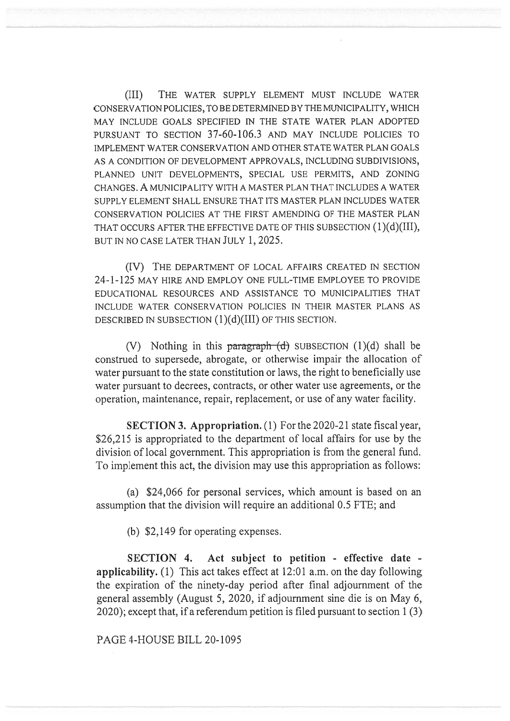(III) THE WATER SUPPLY ELEMENT MUST INCLUDE WATER CONSERVATION POLICIES, TO BE DETERMINED BY THE MUNICIPALITY, WHICH MAY INCLUDE GOALS SPECIFIED IN THE STATE WATER PLAN ADOPTED PURSUANT TO SECTION 37-60-106.3 AND MAY INCLUDE POLICIES TO IMPLEMENT WATER CONSERVATION AND OTHER STATE WATER PLAN GOALS AS A CONDITION OF DEVELOPMENT APPROVALS, INCLUDING SUBDIVISIONS, PLANNED UNIT DEVELOPMENTS, SPECIAL USE PERMITS, AND ZONING CHANGES. A MUNICIPALITY WITH A MASTER PLAN THAT INCLUDES A WATER SUPPLY ELEMENT SHALL ENSURE THAT ITS MASTER PLAN INCLUDES WATER CONSERVATION POLICIES AT THE FIRST AMENDING OF THE MASTER PLAN THAT OCCURS AFTER THE EFFECTIVE DATE OF THIS SUBSECTION (1)(d)(III), BUT IN NO CASE LATER THAN JULY 1, 2025.

(IV) THE DEPARTMENT OF LOCAL AFFAIRS CREATED IN SECTION 24-1-125 MAY HIRE AND EMPLOY ONE FULL-TIME EMPLOYEE TO PROVIDE EDUCATIONAL RESOURCES AND ASSISTANCE TO MUNICIPALITIES THAT INCLUDE WATER CONSERVATION POLICIES IN THEIR MASTER PLANS AS DESCRIBED IN SUBSECTION (1)(d)(III) OF THIS SECTION.

(V) Nothing in this paragraph  $(d)$  SUBSECTION (1)(d) shall be construed to supersede, abrogate, or otherwise impair the allocation of water pursuant to the state constitution or laws, the right to beneficially use water pursuant to decrees, contracts, or other water use agreements, or the operation, maintenance, repair, replacement, or use of any water facility.

**SECTION 3. Appropriation.** (1) For the 2020-21 state fiscal year, \$26,215 is appropriated to the department of local affairs for use by the division of local government. This appropriation is from the general fund. To implement this act, the division may use this appropriation as follows:

(a) \$24,066 for personal services, which amount is based on an assumption that the division will require an additional 0.5 FTE; and

(b) \$2,149 for operating expenses.

**SECTION 4. Act subject to petition - effective date applicability.** (1) This act takes effect at 12:01 a.m. on the day following the expiration of the ninety-day period after final adjournment of the general assembly (August 5, 2020, if adjournment sine die is on May 6, 2020); except that, if a referendum petition is filed pursuant to section 1 (3)

PAGE 4-HOUSE BILL 20-1095